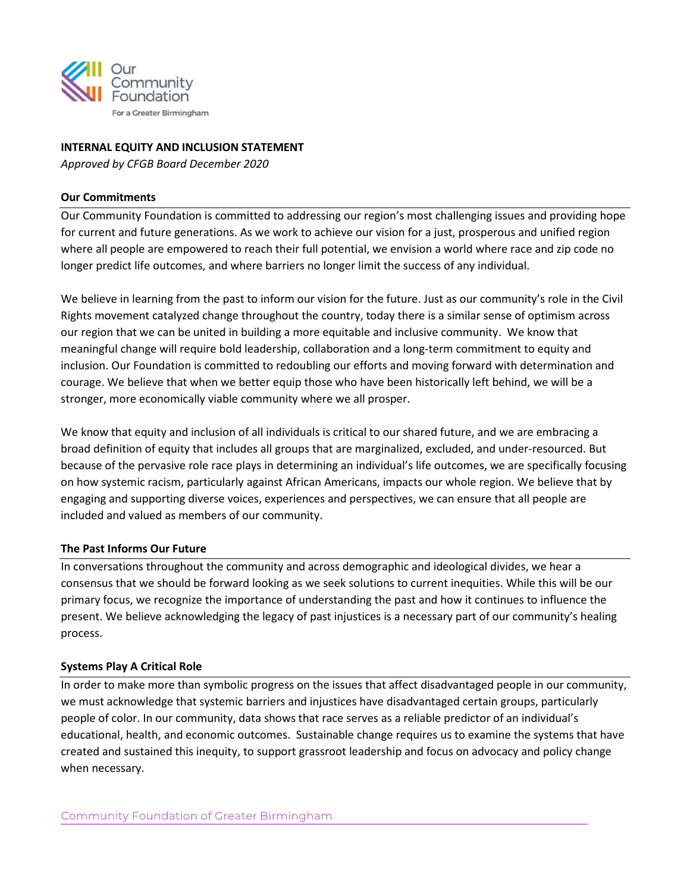

## **INTERNAL EQUITY AND INCLUSION STATEMENT**

*Approved by CFGB Board December 2020*

#### **Our Commitments**

Our Community Foundation is committed to addressing our region's most challenging issues and providing hope for current and future generations. As we work to achieve our vision for a just, prosperous and unified region where all people are empowered to reach their full potential, we envision a world where race and zip code no longer predict life outcomes, and where barriers no longer limit the success of any individual.

We believe in learning from the past to inform our vision for the future. Just as our community's role in the Civil Rights movement catalyzed change throughout the country, today there is a similar sense of optimism across our region that we can be united in building a more equitable and inclusive community. We know that meaningful change will require bold leadership, collaboration and a long-term commitment to equity and inclusion. Our Foundation is committed to redoubling our efforts and moving forward with determination and courage. We believe that when we better equip those who have been historically left behind, we will be a stronger, more economically viable community where we all prosper.

We know that equity and inclusion of all individuals is critical to our shared future, and we are embracing a broad definition of equity that includes all groups that are marginalized, excluded, and under-resourced. But because of the pervasive role race plays in determining an individual's life outcomes, we are specifically focusing on how systemic racism, particularly against African Americans, impacts our whole region. We believe that by engaging and supporting diverse voices, experiences and perspectives, we can ensure that all people are included and valued as members of our community.

#### **The Past Informs Our Future**

In conversations throughout the community and across demographic and ideological divides, we hear a consensus that we should be forward looking as we seek solutions to current inequities. While this will be our primary focus, we recognize the importance of understanding the past and how it continues to influence the present. We believe acknowledging the legacy of past injustices is a necessary part of our community's healing process.

#### **Systems Play A Critical Role**

In order to make more than symbolic progress on the issues that affect disadvantaged people in our community, we must acknowledge that systemic barriers and injustices have disadvantaged certain groups, particularly people of color. In our community, data shows that race serves as a reliable predictor of an individual's educational, health, and economic outcomes. Sustainable change requires us to examine the systems that have created and sustained this inequity, to support grassroot leadership and focus on advocacy and policy change when necessary.